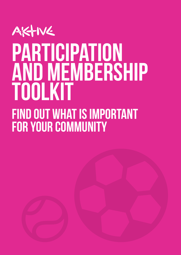

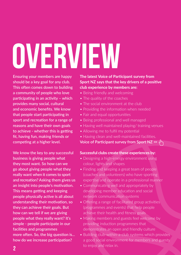# <span id="page-1-0"></span>OVERVIEW

Ensuring your members are happy should be a key goal for any club. This often comes down to building a community of people who love participating in an activity – which provides many social, cultural and economic benefits. We know that people start participating in sport and recreation for a range of reasons and have their own goals to achieve - whether this is getting fit, having fun, making friends or competing at a higher level.

We know the key to any successful business is giving people what they most want. So how can we go about giving people what they really want when it comes to sport and recreation? Asking them gives us an insight into people's motivation. This means getting and keeping people physically active is all about understanding their motivation, so they can achieve their goals. But how can we tell if we are giving people what they really want? It's simple - people participate in our facilities and programmes more often. So, the big question is... how do we increase participation?

#### **The latest [Voice of Participant survey from](https://sportnz.org.nz/managing-sport/voice-of-participant/club-member-experience-survey/)  [Sport NZ](https://sportnz.org.nz/managing-sport/voice-of-participant/club-member-experience-survey/) says that the key drivers of a positive club experience by members are:**

- Being friendly and welcoming
- The quality of the coaches
- The social environment at the club
- Providing the information when needed
- Fair and equal opportunities
- Being professional and well managed
- Having well maintained playing/ training venues
- Allowing me to fulfil my potential
- Having clean and well-maintained facilities.

**[Voice of Participant survey from Sport NZ](https://sportnz.org.nz/managing-sport/voice-of-participant/club-member-experience-survey/) >>** 

#### **Successful clubs create these experiences by:**

- Designing a high-energy environment using colour, lights and shapes
- Finding and keeping a great team of people (coaches and volunteers) who have sporting expertise and operate in a professional manner
- Communicating well and appropriately by developing member education and social network communication systems
- Offering a range of facilitated group activities (programmes and events) that help people achieve their health and fitness goals
- Making members and guests feel welcome by providing induction programmes that demonstrates an open and friendly culture
- Building club-within-a-club systems which provides a good social environment for members and guests to enjoy and relax in.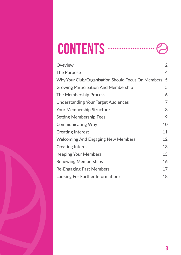| <b>CONTENTS</b> |  |  |
|-----------------|--|--|
|-----------------|--|--|

| Oveview                                            | $\overline{2}$ |
|----------------------------------------------------|----------------|
| The Purpose                                        | $\overline{4}$ |
| Why Your Club/Organisation Should Focus On Members | 5              |
| <b>Growing Participation And Membership</b>        | 5              |
| The Membership Process                             | 6              |
| <b>Understanding Your Target Audiences</b>         | 7              |
| Your Membership Structure                          | 8              |
| <b>Setting Membership Fees</b>                     | 9              |
| <b>Communicating Why</b>                           | 10             |
| <b>Creating Interest</b>                           | 11             |
| <b>Welcoming And Engaging New Members</b>          | 12             |
| <b>Creating Interest</b>                           | 13             |
| <b>Keeping Your Members</b>                        | 15             |
| <b>Renewing Memberships</b>                        | 16             |
| <b>Re-Engaging Past Members</b>                    | 17             |
| Looking For Further Information?                   | 18             |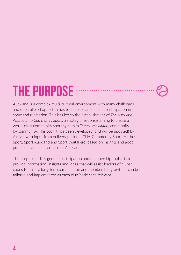# <span id="page-3-0"></span>THE PURPOSE

Auckland is a complex multi-cultural environment with many challenges and unparalleled opportunities to increase and sustain participation in sport and recreation. This has led to the establishment of *The Auckland Approach to Community Sport*, a strategic response aiming to create a world-class community sport system in *Tāmaki Makaurau*, community by community. This toolkit has been developed (and will be updated) by Aktive, with input from delivery partners CLM Community Sport, Harbour Sport, Sport Auckland and Sport Waitākere, based on insights and good practice examples from across Auckland.

. . . . . . . . . . . . . . . . . .

The purpose of this generic participation and membership toolkit is to provide information, insights and ideas that will assist leaders of clubs/ codes to ensure long-term participation and membership growth. It can be tailored and implemented as each club/code sees relevant.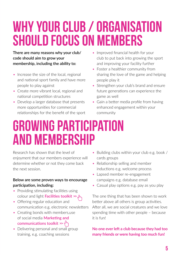# <span id="page-4-0"></span>Why your club / organisation should focus on members

**There are many reasons why your club/ code should aim to grow your membership, including the ability to:** 

- Increase the size of the local, regional and national sport family and have more people to play against
- Create more vibrant local, regional and national competition structures
- Develop a larger database that presents more opportunities for commercial relationships for the benefit of the sport
- Improved financial health for your club to put back into growing the sport and improving your facility further
- Foster a healthier community from sharing the love of the game and helping people play it
- Strengthen your club's brand and ensure future generations can experience the game as well
- Gain a better media profile from having enhanced engagement within your community

## Growing participation and membership

Research has shown that the level of enjoyment that our members experience will determine whether or not they come back the next session.

#### **Below are some proven ways to encourage participation, including:**

- Providing stimulating facilities using colour and light **[Facilities toolkit](http://aktive.org.nz/sector-development/managing-your-organisation/facilities/) >>**
- Offering regular education and communication e.g. electronic newsletters
- Creating bonds with members, use of social media **[Marketing and](https://aktive.org.nz/sector-development/managing-your-organisation/marketing-and-communications/)  [communications toolkit](https://aktive.org.nz/sector-development/managing-your-organisation/marketing-and-communications/) >>**
- Delivering personal and small group training, e.g. coaching sessions
- Building clubs within your club e.g. book / cards groups
- Relationship selling and member inductions e.g. welcome process
- Lapsed member re-engagement campaigns e.g. database email
- Casual play options e.g. pay as you play

The one thing that has been shown to work better above all others is group activities. After all, we are social creatures and we love spending time with other people – because it is fun!

#### **No one ever left a club because they had too many friends or were having too much fun!**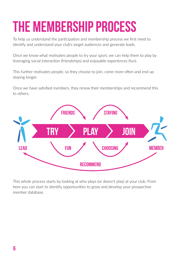# <span id="page-5-0"></span>THE MEMBERSHIP PROCESS

To help us understand the participation and membership process we first need to identify and understand your club's target audiences and generate leads.

Once we know what motivates people to try your sport, we can help them to play by leveraging social interaction (friendships) and enjoyable experiences (fun).

This further motivates people, so they choose to join, come more often and end up staying longer.

Once we have satisfied members, they renew their memberships and recommend this to others.



This whole process starts by looking at who plays (or doesn't play) at your club. From here you can start to identify opportunities to grow and develop your prospective member database.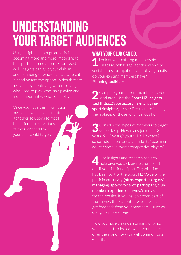# <span id="page-6-0"></span>**UNDERSTANDING** your target audiences

Using insights on a regular basis is becoming more and more important to the sport and recreation sector. Used well, insights can give your club an understanding of where it is at, where it is heading and the opportunities that are available by identifying who is playing, who used to play, who isn't playing and more importantly, who could play.

Once you have this information available, you can start putting together solutions to meet the different motivations of the identified leads your club could target.

### WHAT YOUR CLUB CAN DO:

1 Look at your existing membership database. What age, gender, ethnicity, social status, occupations and playing habits do your existing members have? **[Planning toolkit](https://aktive.org.nz/sector-development/managing-your-organisation/planning/) >>**

**2** Compare your current members to your *L* local area. Use the **Sport NZ Insights [tool \(https://sportnz.org.nz/managing](https://sportnz.org.nz/managing-sport/insights/))[sport/insights/](https://sportnz.org.nz/managing-sport/insights/)))** to see if you are reflecting the makeup of those who live locally.

**3** Consider the types of members to target  $\bigcup$  versus keep. How many juniors (5-8) years, 9-12 years)? youth (13-18 years)? school students? tertiary students? beginner adults? social players? competitive players?

Use insights and research tools to **help give you a clearer picture. Find** out if your National Sport Organisation has been part of the Sport NZ Voice of the participant survey **[\(https://sportnz.org.nz/](https://sportnz.org.nz/managing-sport/voice-of-participant/club-member-experience-survey/) [managing-sport/voice-of-participant/club](https://sportnz.org.nz/managing-sport/voice-of-participant/club-member-experience-survey/)[member-experience-survey/](https://sportnz.org.nz/managing-sport/voice-of-participant/club-member-experience-survey/)**) and ask them for the results. If you haven't been part of the survey, think about how else you can get feedback from your members - such as doing a simple survey.

Now you have an understanding of who, you can start to look at what your club can offer them and how you will communicate with them.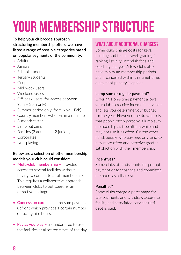# <span id="page-7-0"></span>YOUR MEMBERSHIP STRUCTURE

**To help your club/code approach structuring membership offers, we have listed a range of possible categories based on popular segments of the community:**

- Adults
- Juniors
- School students
- Tertiary students
- Couples
- Mid-week users
- Weekend-users
- Off-peak users (for access between 9am – 3pm only)
- Summer period only (from Nov Feb)
- Country members (who live in a rural area)
- 3-month taster
- Senior citizens
- Families (2 adults and 2 juniors)
- Corporates
- Non-playing

#### **Below are a selection of other membership models your club could consider:**

- **Multi-club membership -** provides access to several facilities without having to commit to a full membership. This requires a collaborative approach between clubs to put together an attractive package.
- **Concession cards –** a lump sum payment upfront which provides a certain number of facility hire hours.
- Pay as you play a standard fee to use the facilities at allocated times of the day.

### WHAT ABOUT ADDITIONAL CHARGES?

Some clubs charge costs for keys, building and teams travel, grading / ranking list levy, interclub fees and coaching charges. A few clubs also have minimum membership periods and if cancelled within this timeframe, a payment penalty is applied.

#### **Lump sum or regular payment?**

Offering a one-time payment allows your club to receive income in advance and lets you determine your budget for the year. However, the drawback is that people often perceive a lump sum membership as free after a while and may not use it as often. On the other hand, people who pay regularly tend to play more often and perceive greater satisfaction with their membership.

#### **Incentives?**

Some clubs offer discounts for prompt payment or for coaches and committee members as a thank you.

#### **Penalties?**

Some clubs charge a percentage for late payments and withdraw access to facility and associated services until debt is paid.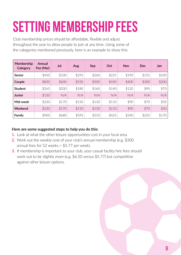# <span id="page-8-0"></span>SETTING MEMBERSHIP FEES

Club membership prices should be affordable, flexible and adjust throughout the year to allow people to join at any time. Using some of the categories mentioned previously, here is an example to show this:

| Membership<br>Category | Annual<br>Fee (Mar) | Jul   | Aug   | Sep   | Oct   | <b>Nov</b> | <b>Dec</b> | Jan   |
|------------------------|---------------------|-------|-------|-------|-------|------------|------------|-------|
| Senior                 | \$450               | \$330 | \$295 | \$260 | \$225 | \$190      | \$155      | \$100 |
| Couple                 | \$830               | \$600 | \$550 | \$500 | \$450 | \$400      | \$300      | \$200 |
| <b>Student</b>         | \$265               | \$200 | \$180 | \$160 | \$140 | \$120      | \$90       | \$70  |
| <b>Junior</b>          | \$130               | N/A   | N/A   | N/A   | N/A   | N/A        | N/A        | N/A   |
| Mid-week               | \$230               | \$170 | \$150 | \$130 | \$110 | \$90       | \$70       | \$50  |
| Weekend                | \$230               | \$170 | \$150 | \$130 | \$110 | \$90       | \$70       | \$50  |
| Family                 | \$900               | \$680 | \$595 | \$510 | \$425 | \$340      | \$255      | \$170 |

#### **Here are some suggested steps to help you do this:**

- **1.** Look at what the other leisure opportunities cost in your local area.
- **2.** Work out the weekly cost of your club's annual membership (e.g. \$300 annual fees for 52 weeks = \$5.77 per week).
- **3.** If membership is important to your club, your casual facility hire fees should work out to be slightly more (e.g. \$6.50 versus \$5.77) but competitive against other leisure options.

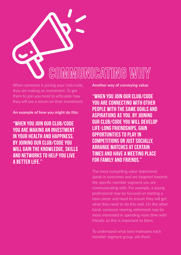<span id="page-9-0"></span>

When someone is joining your club/code, they are making an investment. To get them to join you need to articulate how they will see a return on their investment.

**An example of how you might do this:**

"WHEN YOU JOIN OUR CLUB/CODE YOU ARE MAKING AN INVESTMENT IN YOUR HEALTH AND HAPPINESS. BY JOINING OUR CLUB/CODE YOU WILL GAIN THE KNOWLEDGE, SKILLS AND NETWORKS TO HELP YOU LIVE A BETTER LIFE."

**Another way of conveying value:**

"WHEN YOU JOIN OUR CLUB/CODE YOU ARE CONNECTING WITH OTHER PEOPLE WITH THE SAME GOALS AND ASPIRATIONS AS YOU. BY JOINING OUR CLUB/CODE YOU WILL DEVELOP LIFE-LONG FRIENDSHIPS, GAIN OPPORTUNITIES TO PLAY IN COMPETITIONS OR JUST SOCIALLY, ARRANGE MATCHES AT CERTAIN TIMES AND HAVE A MEETING PLACE FOR FAMILY AND FRIENDS."

The most compelling value statements speak in outcomes and are targeted towards the specific member segment you are communicating with. For example, a young professional may be focused on starting a new career and need to ensure they will get what they need to do this well. On the other hand, someone nearing retirement may be more interested in spending more time with friends, so this is important to them.

To understand what best motivates each member segment group, ask them.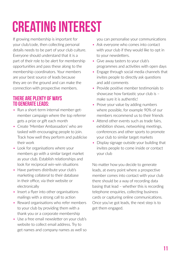# <span id="page-10-0"></span>Creating interest

If growing membership is important for your club/code, then collecting personal details needs to be part of your club culture. Everyone should understand that it is a part of their role to be alert for membership opportunities and pass these along to the membership coordinators. Your members are your best source of leads because they are on the ground and can make the connection with prospective members.

### THERE ARE PLENTY OF WAYS TO GENERATE LEADS:

- Run a short-term internal member-getmember campaign where the top referrer gets a prize or gift each month
- Create 'Member Ambassadors' who are tasked with encouraging people to join. Track how well they perform and publicise their work
- Look for organisations where your members go with a similar target market as your club. Establish relationships and look for reciprocal win-win situations
- Have partners distribute your club's marketing collateral to their database in their office, via their website or electronically
- Insert a flyer into other organisations mailings with a strong call to action
- Reward organisations who refer members to your club by providing them with a thank you or a corporate membership
- Use a free email newsletter on your club's website to collect email address. Try to get names and company names as well so

you can personalise your communications

- Ask everyone who comes into contact with your club if they would like to opt in to your newsletters.
- Give away tasters to your club's programmes and activities with open days
- Engage through social media channels that invites people to directly ask questions and add comments
- Provide positive member testimonials to showcase how fantastic your club is – make sure it is authentic!
- Prove your value by adding numbers where possible, for example 90% of our members recommend us to their friends
- Attend other events such as trade fairs, exhibition shows, networking meetings, conferences and other sports to promote your club to similar target markets
- Display signage outside your building that invites people to come inside or contact your club

No matter how you decide to generate leads, at every point where a prospective member comes into contact with your club there should be a way of recording data basing that lead – whether this is recording telephone enquiries, collecting business cards or capturing online communications. Once you've got leads, the next step is to get them engaged.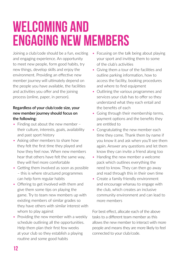# <span id="page-11-0"></span>Welcoming and engaging new members

Joining a club/code should be a fun, exciting and engaging experience. An opportunity to meet new people, form good habits, try new things, develop skills and enjoy the environment. Providing an effective new member journey will ultimately depend on the people you have available, the facilities and activities you offer and the joining process (online, paper, in person).

#### **Regardless of your club/code size, your new member journey should focus on the following:**

- Finding out about the new member their culture, interests, goals, availability and past sport history
- Asking other members to share how they felt the first time they played and how they feel now. When new members hear that others have felt the same way, they will feel more comfortable
- Getting them involved as soon as possible – this is where structured programmes can help form regular habits
- Offering to get involved with them and give them some tips on playing the game. Try to team new members up with existing members of similar grades so they have others with similar interest with whom to play against
- Providing the new member with a weekly schedule outlining all the opportunities. Help them plan their first few weeks at your club so they establish a playing routine and some good habits
- Focusing on the talk being about playing your sport and inviting them to some of the club's activities
- Giving them a tour of the facilities and outline parking information, how to access the facility, booking procedures and where to find equipment
- Outlining the various programmes and services your club has to offer so they understand what they each entail and the benefits of each
- Going through their membership terms, payment options and the benefits they are entitled to
- Congratulating the new member each time they come. Thank them by name if you know it and ask when you'll see them again. Answer any questions and let them know they can invite a friend along too
- Handing the new member a welcome pack which outlines everything the need to know. They can then go away and read through this in their own time
- Create a family friendly environment and encourage whanau to engage with the club, which creates an inclusive community environment and can lead to more members

For best effect, allocate each of the above tasks to a different team member as this allows the new member to interact with more people and means they are more likely to feel connected to your club/code.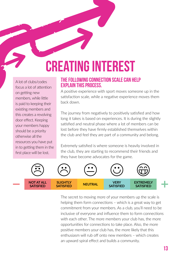# <span id="page-12-0"></span>Creating interest

A lot of clubs/codes focus a lot of attention on getting new members, while little is paid to keeping their existing members and this creates a revolving door effect. Keeping your members happy should be a priority otherwise all the resources you have put in to getting them in the first place will be lost.

#### THE FOLLOWING CONNECTION SCALE CAN HELP EXPLAIN THIS PROCESS.

A positive experience with sport moves someone up in the satisfaction scale, while a negative experience moves them back down.

The journey from negatively to positively satisfied and how long it takes is based on experiences. It is during the slightly satisfied and neutral phase where a lot of members can be lost before they have firmly established themselves within the club and feel they are part of a community and belong.

Extremely satisfied is where someone is heavily involved in the club, they are starting to recommend their friends and they have become advocates for the game.



The secret to moving more of your members up the scale is helping them form connections – which is a great way to get commitment from your members. As a club, you'll need to be inclusive of everyone and influence them to form connections with each other. The more members your club has, the more opportunities for connections to take place. Also, the more positive members your club has, the more likely that this enthusiasm will rub off onto new members – which creates an upward spiral effect and builds a community.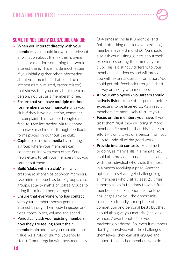### **CREATING INTEREST ...**

### SOME THINGS EVERY CLUB/CODE CAN DO:

- **When you interact directly with your members** you should know some relevant information about them - their playing habits or mention something that would interest them. This is made much easier if you initially gather other information about your members that could be of interest (family related, career related) that shows that you care about them as a person, not just as a membership fee.
- **Ensure that you have multiple methods for members to communicate** with your club if they have a question, comment or complaint. This can be through direct face-to-face interaction, via telephone or answer machine, or through feedback forms placed throughout the club.
- **Capitalise on social media** by creating a group where your members can connect online with each other. Send newsletters to tell your members that you care about them.
- **Build 'clubs within a club'** as a way of creating relationships between members. Use mini-clubs such as book groups, card groups, activity nights or coffee groups to bring like-minded people together.
- **Ensure that everyone who has contact** with your members shows genuine interest through their body language and vocal tones, pitch, volume and speed.
- **Periodically ask your existing members how they are feeling about their membership** and how you can add more value. As a rule of thumb, you should start off more regular with new members

(3-4 times in the first 3 months) and finish off asking quarterly with existing members (every 3 months). You should also ask your visiting guests about their experiences during their time at your club. This is distinctly different to your members experiences and will provide you with external useful information. You could get this feedback through a short survey or talking with members.

- **All your employees / volunteers should actively listen** to the other person before expecting to be listened to. As a result, members are more likely to trust you.
- **Focus on the members you have.** If you treat them right they will bring in more members. Remember that this is a team effort - it only takes one person from your club to undo all of the good work.
- **Provide in-club contests** like a time trial or doing as many skills in a minute. You could also provide attendance challenges, with the individual who visits the most in a month receiving a prize. Another option is to set a target challenge, e.g. all members who visit at least 20 times a month all go in the draw to win a free membership subscription. Not only do challenges give you the opportunity to create a friendly atmosphere of competition and personal bests but they should also give you material (challenge winners / event photos) for your marketing platforms. So, even if members don't get involved with the challenges themselves, they can still engage and support those other members who do.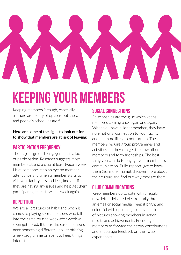<span id="page-14-0"></span>

# Keeping your members

Keeping members is tough, especially as there are plenty of options out there and people's schedules are full.

**Here are some of the signs to look out for to show that members are at risk of leaving:**

### PARTICIPATION FREQUENCY

The major sign of disengagement is a lack of participation. Research suggests most members attend a club at least twice a week. Have someone keep an eye on member attendance and when a member starts to visit your facility less and less, find out if they are having any issues and help get them participating at least twice a week again.

#### **REPETITION**

We are all creatures of habit and when it comes to playing sport, members who fall into the same routine week after week will soon get bored. If this is the case, members need something different. Look at offering a new programme or event to keep things interesting.

### SOCIAL CONNECTIONS

Relationships are the glue which keeps members coming back again and again. When you have a 'loner member', they have no emotional connection to your facility and are more likely to not turn up. These members require group programmes and activities, so they can get to know other members and form friendships. The best thing you can do to engage your members is communication. Build rapport, get to know them (learn their name), discover more about their culture and find out why they are there.

### CLUB COMMUNICATIONS

Keep members up to date with a regular newsletter delivered electronically through an email or social media. Keep it bright and colourful with upcoming club events, lots of pictures showing members in action, results and achievements. Encourage members to forward their story contributions and encourage feedback on their club experiences.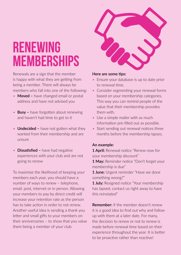# <span id="page-15-0"></span>Renewing **MEMBERSHIPS**

Renewals are a sign that the member is happy with what they are getting from being a member. There will always be members who fall into one of the following:

- **Moved –** have changed email or postal address and have not advised you
- **Busy** have forgotten about renewing and haven't had time to get to it
- **Undecided -** have not gotten what they wanted from their membership and are unsure
- **Dissatisfied –** have had negative experiences with your club and are not going to renew

To maximise the likelihood of keeping your members each year, you should have a number of ways to renew – telephone, email, post, internet or in person. Allowing your members to pay by direct credit will increase your retention rate as the person has to take action in order to not renew. Another useful idea is sending a thank you letter and small gifts to your members on their anniversaries – to show that you value them being a member of your club.



#### **Here are some tips:**

- Ensure your database is up to date prior to renewal time.
- Consider segmenting your renewal forms based on your membership categories. This way you can remind people of the value that their membership provides them with.
- Use a simple mailer with as much information pre-filled out as possible.
- Start sending out renewal notices three months before the membership lapses.

#### **An example:**

**1 April:** Renewal notice "Renew now for your membership discount"

**1 May:** Reminder notice "Don't forget your membership is due"

**1 June:** Urgent reminder "Have we done something wrong?"

**1 July:** Resigned notice "Your membership has lapsed, contact us right away to have this reinstated"

**Remember:** if the member doesn't renew it is a good idea to find out why and follow up with them at a later date. For many, the decision to renew or not to renew is made before renewal time based on their experience throughout the year. It is better to be proactive rather than reactive!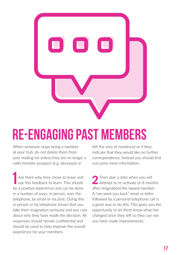<span id="page-16-0"></span>

# Re-engaging past members

When someone stops being a member at your club, do not delete them from your mailing list unless they are no longer a valid member prospect (e.g. deceased or

Ask them why they chose to leave and use this feedback to learn. This should be a positive experience and can be done in a number of ways: in person, over the telephone, by email or via post. Doing this in person or by telephone shows that you take their resignation seriously and you care about why they have made the decision. All responses should remain confidential and should be used to help improve the overall experience for your members.

left the area of residence) or if they indicate that they would like no further correspondence. Instead you should find out some more information.

2 Then plan a date when you will<br>attempt to re-activate (6-8 months after resignation) the lapsed member. A "we want you back" email or letter followed by a personal telephone call is a great way to do this. This gives you the opportunity to let them know what has changed since they left so they can see you have made improvements.